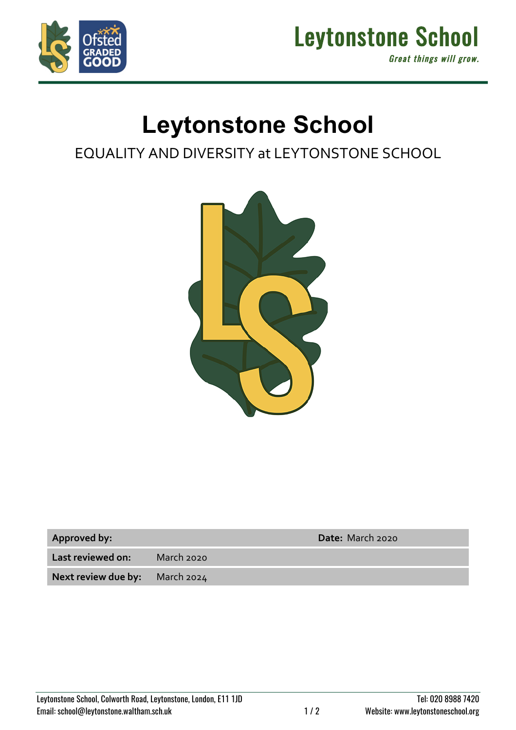



## **Leytonstone School**

## EQUALITY AND DIVERSITY at LEYTONSTONE SCHOOL



| <b>Approved by:</b> |  |
|---------------------|--|
|---------------------|--|

**Approved by: Date:** March 2020

**Last reviewed on:** March 2020

**Next review due by:** March 2024